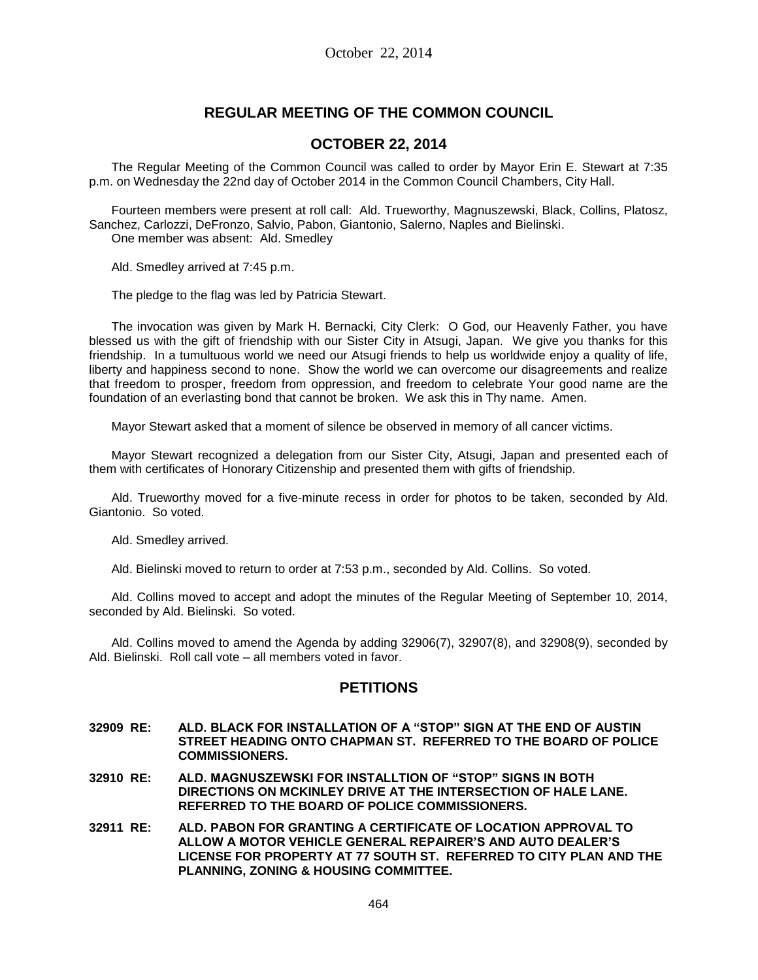# **REGULAR MEETING OF THE COMMON COUNCIL**

## **OCTOBER 22, 2014**

The Regular Meeting of the Common Council was called to order by Mayor Erin E. Stewart at 7:35 p.m. on Wednesday the 22nd day of October 2014 in the Common Council Chambers, City Hall.

Fourteen members were present at roll call: Ald. Trueworthy, Magnuszewski, Black, Collins, Platosz, Sanchez, Carlozzi, DeFronzo, Salvio, Pabon, Giantonio, Salerno, Naples and Bielinski. One member was absent: Ald. Smedley

Ald. Smedley arrived at 7:45 p.m.

The pledge to the flag was led by Patricia Stewart.

The invocation was given by Mark H. Bernacki, City Clerk: O God, our Heavenly Father, you have blessed us with the gift of friendship with our Sister City in Atsugi, Japan. We give you thanks for this friendship. In a tumultuous world we need our Atsugi friends to help us worldwide enjoy a quality of life, liberty and happiness second to none. Show the world we can overcome our disagreements and realize that freedom to prosper, freedom from oppression, and freedom to celebrate Your good name are the foundation of an everlasting bond that cannot be broken. We ask this in Thy name. Amen.

Mayor Stewart asked that a moment of silence be observed in memory of all cancer victims.

Mayor Stewart recognized a delegation from our Sister City, Atsugi, Japan and presented each of them with certificates of Honorary Citizenship and presented them with gifts of friendship.

Ald. Trueworthy moved for a five-minute recess in order for photos to be taken, seconded by Ald. Giantonio. So voted.

Ald. Smedley arrived.

Ald. Bielinski moved to return to order at 7:53 p.m., seconded by Ald. Collins. So voted.

Ald. Collins moved to accept and adopt the minutes of the Regular Meeting of September 10, 2014, seconded by Ald. Bielinski. So voted.

Ald. Collins moved to amend the Agenda by adding 32906(7), 32907(8), and 32908(9), seconded by Ald. Bielinski. Roll call vote – all members voted in favor.

## **PETITIONS**

- **32909 RE: ALD. BLACK FOR INSTALLATION OF A "STOP" SIGN AT THE END OF AUSTIN STREET HEADING ONTO CHAPMAN ST. REFERRED TO THE BOARD OF POLICE COMMISSIONERS.**
- **32910 RE: ALD. MAGNUSZEWSKI FOR INSTALLTION OF "STOP" SIGNS IN BOTH DIRECTIONS ON MCKINLEY DRIVE AT THE INTERSECTION OF HALE LANE. REFERRED TO THE BOARD OF POLICE COMMISSIONERS.**
- **32911 RE: ALD. PABON FOR GRANTING A CERTIFICATE OF LOCATION APPROVAL TO ALLOW A MOTOR VEHICLE GENERAL REPAIRER'S AND AUTO DEALER'S LICENSE FOR PROPERTY AT 77 SOUTH ST. REFERRED TO CITY PLAN AND THE PLANNING, ZONING & HOUSING COMMITTEE.**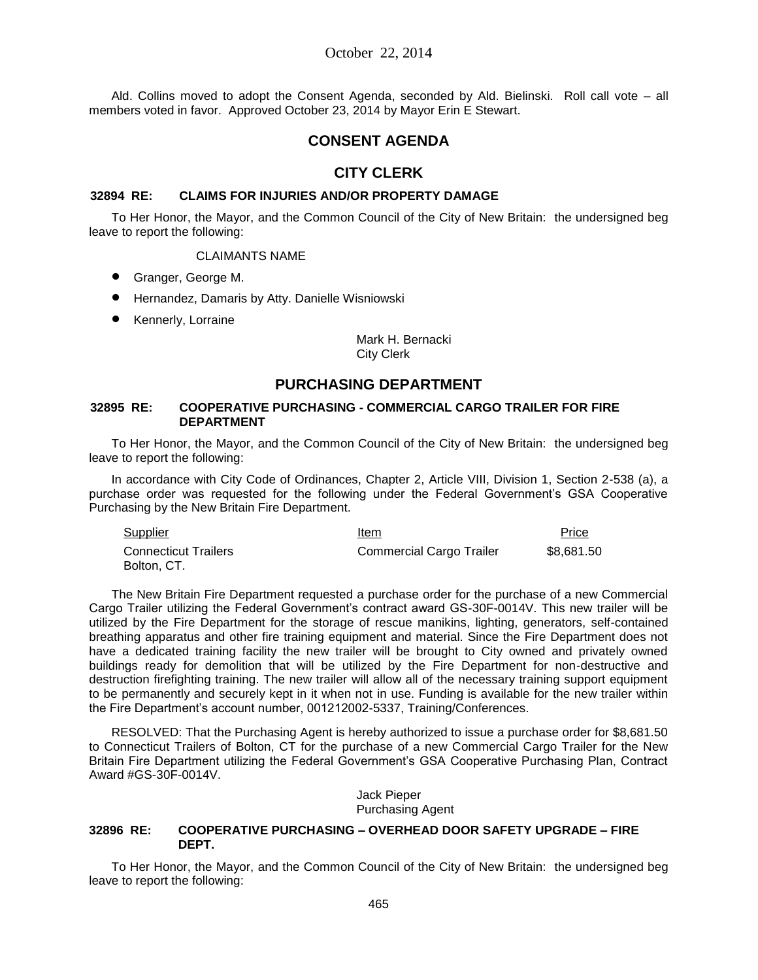Ald. Collins moved to adopt the Consent Agenda, seconded by Ald. Bielinski. Roll call vote – all members voted in favor. Approved October 23, 2014 by Mayor Erin E Stewart.

## **CONSENT AGENDA**

## **CITY CLERK**

#### **32894 RE: CLAIMS FOR INJURIES AND/OR PROPERTY DAMAGE**

To Her Honor, the Mayor, and the Common Council of the City of New Britain: the undersigned beg leave to report the following:

#### CLAIMANTS NAME

- Granger, George M.
- Hernandez, Damaris by Atty. Danielle Wisniowski
- **•** Kennerly, Lorraine

Mark H. Bernacki City Clerk

## **PURCHASING DEPARTMENT**

#### **32895 RE: COOPERATIVE PURCHASING - COMMERCIAL CARGO TRAILER FOR FIRE DEPARTMENT**

To Her Honor, the Mayor, and the Common Council of the City of New Britain: the undersigned beg leave to report the following:

In accordance with City Code of Ordinances, Chapter 2, Article VIII, Division 1, Section 2-538 (a), a purchase order was requested for the following under the Federal Government's GSA Cooperative Purchasing by the New Britain Fire Department.

| <b>Supplier</b>                            | Item                            | Price      |
|--------------------------------------------|---------------------------------|------------|
| <b>Connecticut Trailers</b><br>Bolton, CT. | <b>Commercial Cargo Trailer</b> | \$8,681.50 |

The New Britain Fire Department requested a purchase order for the purchase of a new Commercial Cargo Trailer utilizing the Federal Government's contract award GS-30F-0014V. This new trailer will be utilized by the Fire Department for the storage of rescue manikins, lighting, generators, self-contained breathing apparatus and other fire training equipment and material. Since the Fire Department does not have a dedicated training facility the new trailer will be brought to City owned and privately owned buildings ready for demolition that will be utilized by the Fire Department for non-destructive and destruction firefighting training. The new trailer will allow all of the necessary training support equipment to be permanently and securely kept in it when not in use. Funding is available for the new trailer within the Fire Department's account number, 001212002-5337, Training/Conferences.

RESOLVED: That the Purchasing Agent is hereby authorized to issue a purchase order for \$8,681.50 to Connecticut Trailers of Bolton, CT for the purchase of a new Commercial Cargo Trailer for the New Britain Fire Department utilizing the Federal Government's GSA Cooperative Purchasing Plan, Contract Award #GS-30F-0014V.

> Jack Pieper Purchasing Agent

#### **32896 RE: COOPERATIVE PURCHASING – OVERHEAD DOOR SAFETY UPGRADE – FIRE DEPT.**

To Her Honor, the Mayor, and the Common Council of the City of New Britain: the undersigned beg leave to report the following: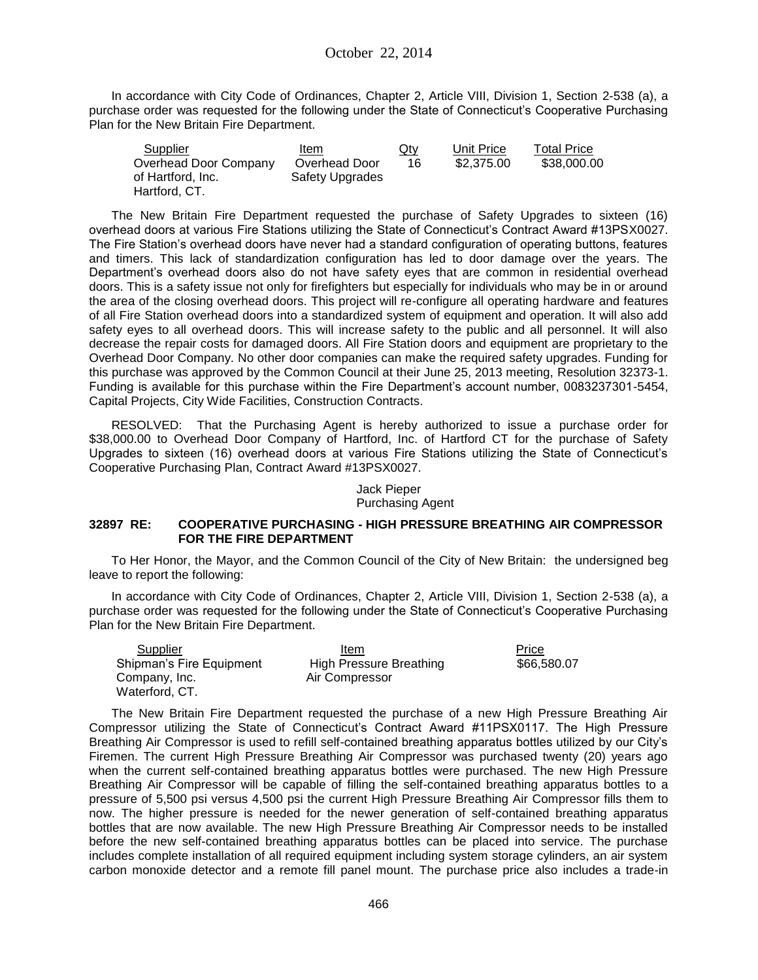In accordance with City Code of Ordinances, Chapter 2, Article VIII, Division 1, Section 2-538 (a), a purchase order was requested for the following under the State of Connecticut's Cooperative Purchasing Plan for the New Britain Fire Department.

| Supplier              | Item            | $Q$ ty | Unit Price | <b>Total Price</b> |
|-----------------------|-----------------|--------|------------|--------------------|
| Overhead Door Company | Overhead Door   | 16     | \$2,375,00 | \$38,000.00        |
| of Hartford, Inc.     | Safety Upgrades |        |            |                    |
| Hartford, CT.         |                 |        |            |                    |

The New Britain Fire Department requested the purchase of Safety Upgrades to sixteen (16) overhead doors at various Fire Stations utilizing the State of Connecticut's Contract Award #13PSX0027. The Fire Station's overhead doors have never had a standard configuration of operating buttons, features and timers. This lack of standardization configuration has led to door damage over the years. The Department's overhead doors also do not have safety eyes that are common in residential overhead doors. This is a safety issue not only for firefighters but especially for individuals who may be in or around the area of the closing overhead doors. This project will re-configure all operating hardware and features of all Fire Station overhead doors into a standardized system of equipment and operation. It will also add safety eyes to all overhead doors. This will increase safety to the public and all personnel. It will also decrease the repair costs for damaged doors. All Fire Station doors and equipment are proprietary to the Overhead Door Company. No other door companies can make the required safety upgrades. Funding for this purchase was approved by the Common Council at their June 25, 2013 meeting, Resolution 32373-1. Funding is available for this purchase within the Fire Department's account number, 0083237301-5454, Capital Projects, City Wide Facilities, Construction Contracts.

RESOLVED: That the Purchasing Agent is hereby authorized to issue a purchase order for \$38,000.00 to Overhead Door Company of Hartford, Inc. of Hartford CT for the purchase of Safety Upgrades to sixteen (16) overhead doors at various Fire Stations utilizing the State of Connecticut's Cooperative Purchasing Plan, Contract Award #13PSX0027.

#### Jack Pieper Purchasing Agent

#### **32897 RE: COOPERATIVE PURCHASING - HIGH PRESSURE BREATHING AIR COMPRESSOR FOR THE FIRE DEPARTMENT**

To Her Honor, the Mayor, and the Common Council of the City of New Britain: the undersigned beg leave to report the following:

In accordance with City Code of Ordinances, Chapter 2, Article VIII, Division 1, Section 2-538 (a), a purchase order was requested for the following under the State of Connecticut's Cooperative Purchasing Plan for the New Britain Fire Department.

| Supplier                 | Item                    | Price       |
|--------------------------|-------------------------|-------------|
| Shipman's Fire Equipment | High Pressure Breathing | \$66,580.07 |
| Company, Inc.            | Air Compressor          |             |
| Waterford, CT.           |                         |             |

The New Britain Fire Department requested the purchase of a new High Pressure Breathing Air Compressor utilizing the State of Connecticut's Contract Award #11PSX0117. The High Pressure Breathing Air Compressor is used to refill self-contained breathing apparatus bottles utilized by our City's Firemen. The current High Pressure Breathing Air Compressor was purchased twenty (20) years ago when the current self-contained breathing apparatus bottles were purchased. The new High Pressure Breathing Air Compressor will be capable of filling the self-contained breathing apparatus bottles to a pressure of 5,500 psi versus 4,500 psi the current High Pressure Breathing Air Compressor fills them to now. The higher pressure is needed for the newer generation of self-contained breathing apparatus bottles that are now available. The new High Pressure Breathing Air Compressor needs to be installed before the new self-contained breathing apparatus bottles can be placed into service. The purchase includes complete installation of all required equipment including system storage cylinders, an air system carbon monoxide detector and a remote fill panel mount. The purchase price also includes a trade-in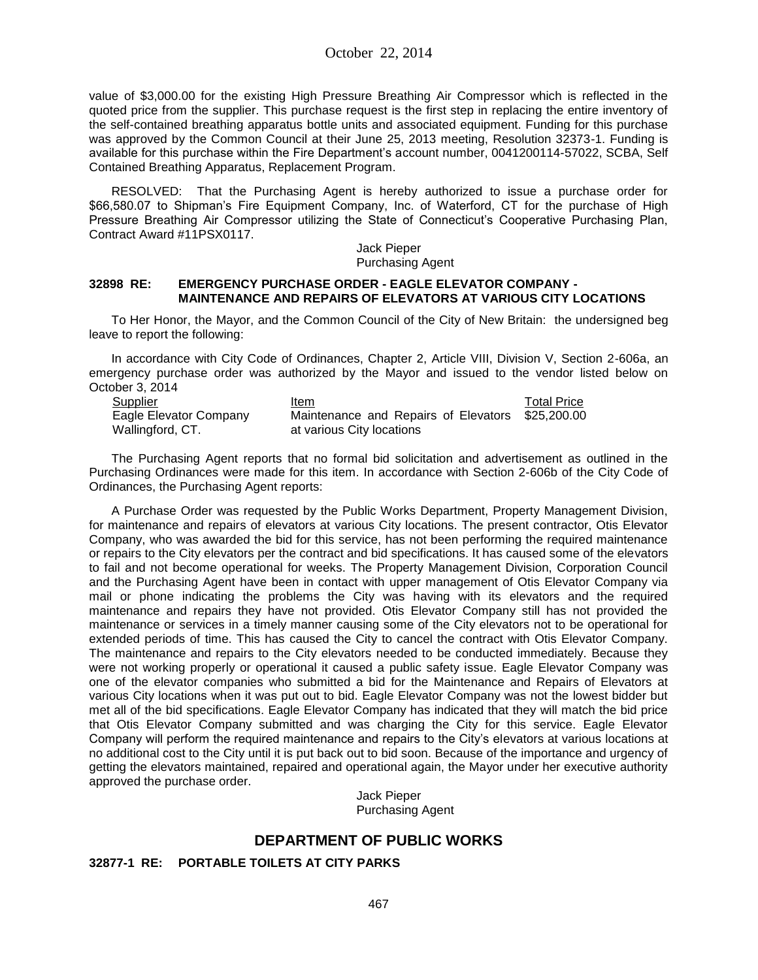value of \$3,000.00 for the existing High Pressure Breathing Air Compressor which is reflected in the quoted price from the supplier. This purchase request is the first step in replacing the entire inventory of the self-contained breathing apparatus bottle units and associated equipment. Funding for this purchase was approved by the Common Council at their June 25, 2013 meeting, Resolution 32373-1. Funding is available for this purchase within the Fire Department's account number, 0041200114-57022, SCBA, Self Contained Breathing Apparatus, Replacement Program.

RESOLVED: That the Purchasing Agent is hereby authorized to issue a purchase order for \$66,580.07 to Shipman's Fire Equipment Company, Inc. of Waterford, CT for the purchase of High Pressure Breathing Air Compressor utilizing the State of Connecticut's Cooperative Purchasing Plan, Contract Award #11PSX0117.

#### Jack Pieper Purchasing Agent

#### **32898 RE: EMERGENCY PURCHASE ORDER - EAGLE ELEVATOR COMPANY - MAINTENANCE AND REPAIRS OF ELEVATORS AT VARIOUS CITY LOCATIONS**

To Her Honor, the Mayor, and the Common Council of the City of New Britain: the undersigned beg leave to report the following:

In accordance with City Code of Ordinances, Chapter 2, Article VIII, Division V, Section 2-606a, an emergency purchase order was authorized by the Mayor and issued to the vendor listed below on October 3, 2014

| <b>Supplier</b>        | Item                                             | <b>Total Price</b> |
|------------------------|--------------------------------------------------|--------------------|
| Eagle Elevator Company | Maintenance and Repairs of Elevators \$25,200.00 |                    |
| Wallingford, CT.       | at various City locations                        |                    |

The Purchasing Agent reports that no formal bid solicitation and advertisement as outlined in the Purchasing Ordinances were made for this item. In accordance with Section 2-606b of the City Code of Ordinances, the Purchasing Agent reports:

A Purchase Order was requested by the Public Works Department, Property Management Division, for maintenance and repairs of elevators at various City locations. The present contractor, Otis Elevator Company, who was awarded the bid for this service, has not been performing the required maintenance or repairs to the City elevators per the contract and bid specifications. It has caused some of the elevators to fail and not become operational for weeks. The Property Management Division, Corporation Council and the Purchasing Agent have been in contact with upper management of Otis Elevator Company via mail or phone indicating the problems the City was having with its elevators and the required maintenance and repairs they have not provided. Otis Elevator Company still has not provided the maintenance or services in a timely manner causing some of the City elevators not to be operational for extended periods of time. This has caused the City to cancel the contract with Otis Elevator Company. The maintenance and repairs to the City elevators needed to be conducted immediately. Because they were not working properly or operational it caused a public safety issue. Eagle Elevator Company was one of the elevator companies who submitted a bid for the Maintenance and Repairs of Elevators at various City locations when it was put out to bid. Eagle Elevator Company was not the lowest bidder but met all of the bid specifications. Eagle Elevator Company has indicated that they will match the bid price that Otis Elevator Company submitted and was charging the City for this service. Eagle Elevator Company will perform the required maintenance and repairs to the City's elevators at various locations at no additional cost to the City until it is put back out to bid soon. Because of the importance and urgency of getting the elevators maintained, repaired and operational again, the Mayor under her executive authority approved the purchase order.

Jack Pieper Purchasing Agent

# **DEPARTMENT OF PUBLIC WORKS**

#### **32877-1 RE: PORTABLE TOILETS AT CITY PARKS**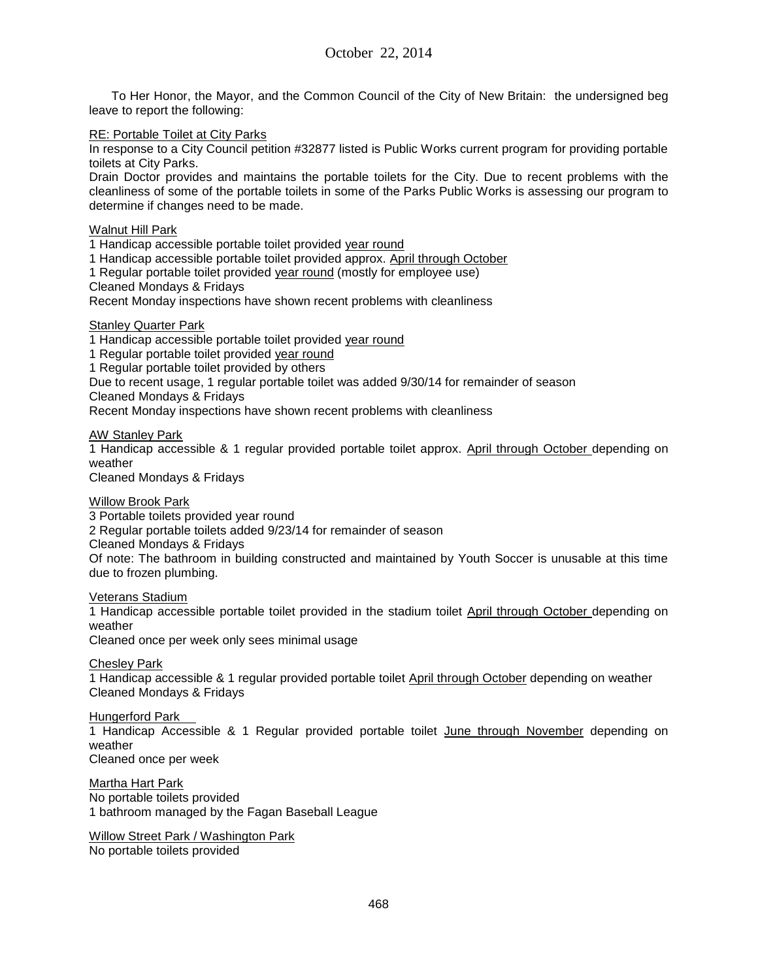To Her Honor, the Mayor, and the Common Council of the City of New Britain: the undersigned beg leave to report the following:

#### RE: Portable Toilet at City Parks

In response to a City Council petition #32877 listed is Public Works current program for providing portable toilets at City Parks.

Drain Doctor provides and maintains the portable toilets for the City. Due to recent problems with the cleanliness of some of the portable toilets in some of the Parks Public Works is assessing our program to determine if changes need to be made.

#### Walnut Hill Park

1 Handicap accessible portable toilet provided year round

1 Handicap accessible portable toilet provided approx. April through October

1 Regular portable toilet provided year round (mostly for employee use)

Cleaned Mondays & Fridays

Recent Monday inspections have shown recent problems with cleanliness

Stanley Quarter Park

1 Handicap accessible portable toilet provided year round

1 Regular portable toilet provided year round

1 Regular portable toilet provided by others

Due to recent usage, 1 regular portable toilet was added 9/30/14 for remainder of season

Cleaned Mondays & Fridays

Recent Monday inspections have shown recent problems with cleanliness

AW Stanley Park

1 Handicap accessible & 1 regular provided portable toilet approx. April through October depending on weather

Cleaned Mondays & Fridays

#### Willow Brook Park

3 Portable toilets provided year round

2 Regular portable toilets added 9/23/14 for remainder of season

Cleaned Mondays & Fridays

Of note: The bathroom in building constructed and maintained by Youth Soccer is unusable at this time due to frozen plumbing.

#### Veterans Stadium

1 Handicap accessible portable toilet provided in the stadium toilet April through October depending on weather

Cleaned once per week only sees minimal usage

Chesley Park

1 Handicap accessible & 1 regular provided portable toilet April through October depending on weather Cleaned Mondays & Fridays

#### Hungerford Park

1 Handicap Accessible & 1 Regular provided portable toilet June through November depending on weather

Cleaned once per week

Martha Hart Park No portable toilets provided 1 bathroom managed by the Fagan Baseball League

Willow Street Park / Washington Park No portable toilets provided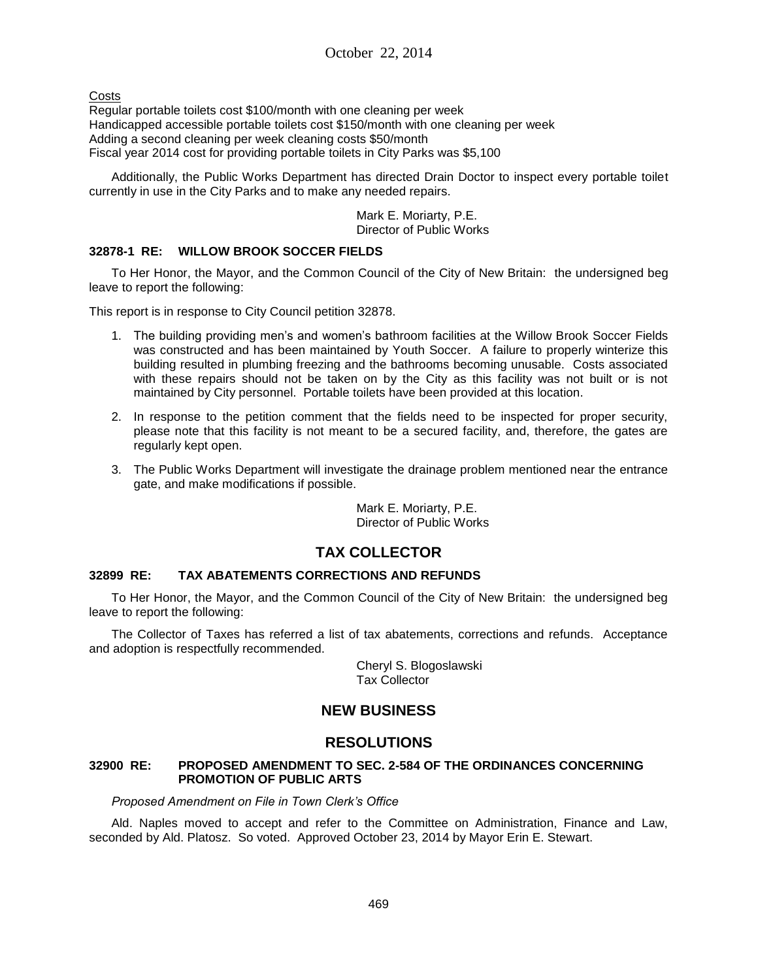**Costs** 

Regular portable toilets cost \$100/month with one cleaning per week Handicapped accessible portable toilets cost \$150/month with one cleaning per week Adding a second cleaning per week cleaning costs \$50/month Fiscal year 2014 cost for providing portable toilets in City Parks was \$5,100

Additionally, the Public Works Department has directed Drain Doctor to inspect every portable toilet currently in use in the City Parks and to make any needed repairs.

> Mark E. Moriarty, P.E. Director of Public Works

## **32878-1 RE: WILLOW BROOK SOCCER FIELDS**

To Her Honor, the Mayor, and the Common Council of the City of New Britain: the undersigned beg leave to report the following:

This report is in response to City Council petition 32878.

- 1. The building providing men's and women's bathroom facilities at the Willow Brook Soccer Fields was constructed and has been maintained by Youth Soccer. A failure to properly winterize this building resulted in plumbing freezing and the bathrooms becoming unusable. Costs associated with these repairs should not be taken on by the City as this facility was not built or is not maintained by City personnel. Portable toilets have been provided at this location.
- 2. In response to the petition comment that the fields need to be inspected for proper security, please note that this facility is not meant to be a secured facility, and, therefore, the gates are regularly kept open.
- 3. The Public Works Department will investigate the drainage problem mentioned near the entrance gate, and make modifications if possible.

Mark E. Moriarty, P.E. Director of Public Works

# **TAX COLLECTOR**

### **32899 RE: TAX ABATEMENTS CORRECTIONS AND REFUNDS**

To Her Honor, the Mayor, and the Common Council of the City of New Britain: the undersigned beg leave to report the following:

The Collector of Taxes has referred a list of tax abatements, corrections and refunds. Acceptance and adoption is respectfully recommended.

> Cheryl S. Blogoslawski Tax Collector

## **NEW BUSINESS**

# **RESOLUTIONS**

#### **32900 RE: PROPOSED AMENDMENT TO SEC. 2-584 OF THE ORDINANCES CONCERNING PROMOTION OF PUBLIC ARTS**

*Proposed Amendment on File in Town Clerk's Office*

Ald. Naples moved to accept and refer to the Committee on Administration, Finance and Law, seconded by Ald. Platosz. So voted. Approved October 23, 2014 by Mayor Erin E. Stewart.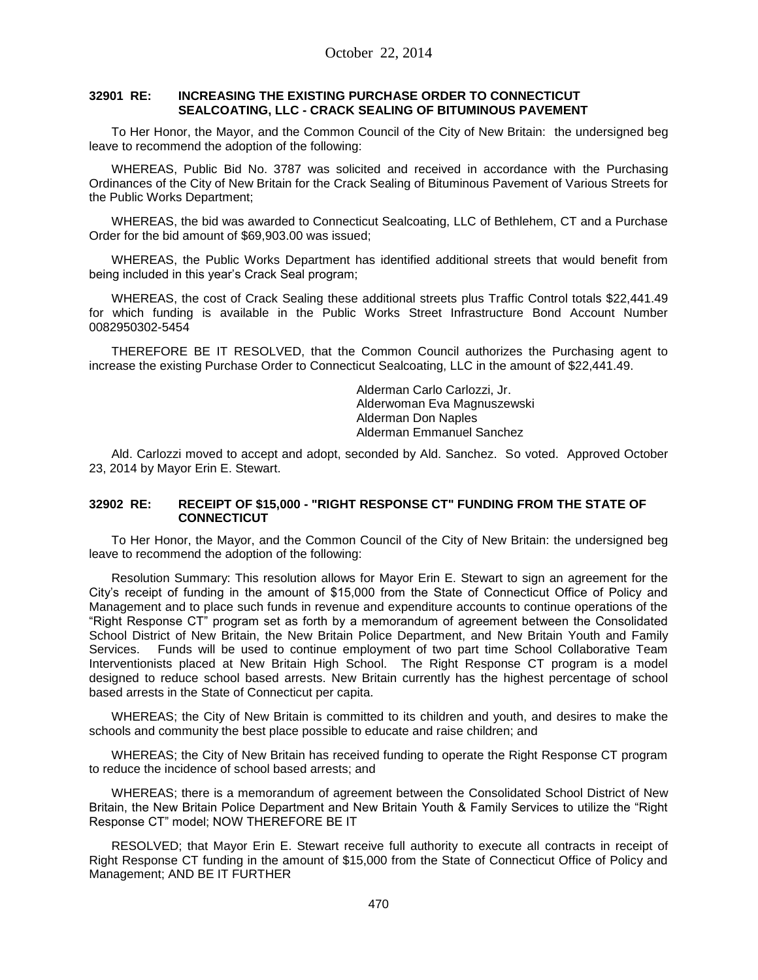#### **32901 RE: INCREASING THE EXISTING PURCHASE ORDER TO CONNECTICUT SEALCOATING, LLC - CRACK SEALING OF BITUMINOUS PAVEMENT**

To Her Honor, the Mayor, and the Common Council of the City of New Britain: the undersigned beg leave to recommend the adoption of the following:

WHEREAS, Public Bid No. 3787 was solicited and received in accordance with the Purchasing Ordinances of the City of New Britain for the Crack Sealing of Bituminous Pavement of Various Streets for the Public Works Department;

WHEREAS, the bid was awarded to Connecticut Sealcoating, LLC of Bethlehem, CT and a Purchase Order for the bid amount of \$69,903.00 was issued;

WHEREAS, the Public Works Department has identified additional streets that would benefit from being included in this year's Crack Seal program;

WHEREAS, the cost of Crack Sealing these additional streets plus Traffic Control totals \$22,441.49 for which funding is available in the Public Works Street Infrastructure Bond Account Number 0082950302-5454

THEREFORE BE IT RESOLVED, that the Common Council authorizes the Purchasing agent to increase the existing Purchase Order to Connecticut Sealcoating, LLC in the amount of \$22,441.49.

> Alderman Carlo Carlozzi, Jr. Alderwoman Eva Magnuszewski Alderman Don Naples Alderman Emmanuel Sanchez

Ald. Carlozzi moved to accept and adopt, seconded by Ald. Sanchez. So voted. Approved October 23, 2014 by Mayor Erin E. Stewart.

#### **32902 RE: RECEIPT OF \$15,000 - "RIGHT RESPONSE CT" FUNDING FROM THE STATE OF CONNECTICUT**

To Her Honor, the Mayor, and the Common Council of the City of New Britain: the undersigned beg leave to recommend the adoption of the following:

Resolution Summary: This resolution allows for Mayor Erin E. Stewart to sign an agreement for the City's receipt of funding in the amount of \$15,000 from the State of Connecticut Office of Policy and Management and to place such funds in revenue and expenditure accounts to continue operations of the "Right Response CT" program set as forth by a memorandum of agreement between the Consolidated School District of New Britain, the New Britain Police Department, and New Britain Youth and Family Services. Funds will be used to continue employment of two part time School Collaborative Team Interventionists placed at New Britain High School. The Right Response CT program is a model designed to reduce school based arrests. New Britain currently has the highest percentage of school based arrests in the State of Connecticut per capita.

WHEREAS; the City of New Britain is committed to its children and youth, and desires to make the schools and community the best place possible to educate and raise children; and

WHEREAS; the City of New Britain has received funding to operate the Right Response CT program to reduce the incidence of school based arrests; and

WHEREAS; there is a memorandum of agreement between the Consolidated School District of New Britain, the New Britain Police Department and New Britain Youth & Family Services to utilize the "Right Response CT" model; NOW THEREFORE BE IT

RESOLVED; that Mayor Erin E. Stewart receive full authority to execute all contracts in receipt of Right Response CT funding in the amount of \$15,000 from the State of Connecticut Office of Policy and Management; AND BE IT FURTHER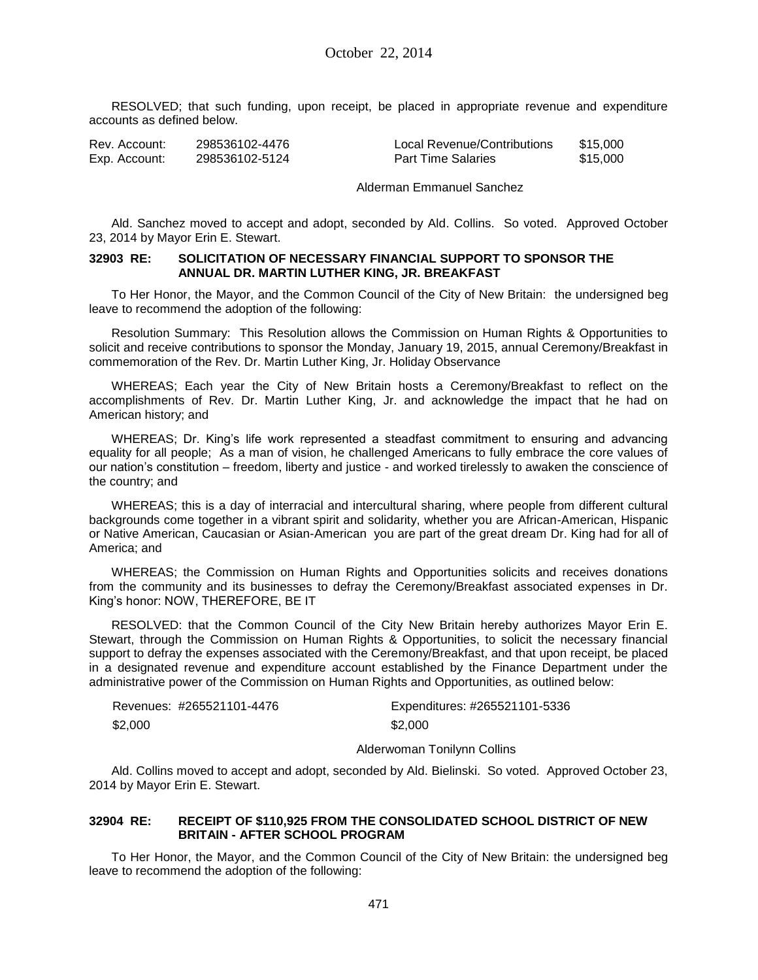RESOLVED; that such funding, upon receipt, be placed in appropriate revenue and expenditure accounts as defined below.

| Rev. Account: | 298536102-4476 | Local Revenue/Contributions | \$15,000 |
|---------------|----------------|-----------------------------|----------|
| Exp. Account: | 298536102-5124 | <b>Part Time Salaries</b>   | \$15,000 |

Alderman Emmanuel Sanchez

Ald. Sanchez moved to accept and adopt, seconded by Ald. Collins. So voted. Approved October 23, 2014 by Mayor Erin E. Stewart.

#### **32903 RE: SOLICITATION OF NECESSARY FINANCIAL SUPPORT TO SPONSOR THE ANNUAL DR. MARTIN LUTHER KING, JR. BREAKFAST**

To Her Honor, the Mayor, and the Common Council of the City of New Britain: the undersigned beg leave to recommend the adoption of the following:

Resolution Summary: This Resolution allows the Commission on Human Rights & Opportunities to solicit and receive contributions to sponsor the Monday, January 19, 2015, annual Ceremony/Breakfast in commemoration of the Rev. Dr. Martin Luther King, Jr. Holiday Observance

WHEREAS; Each year the City of New Britain hosts a Ceremony/Breakfast to reflect on the accomplishments of Rev. Dr. Martin Luther King, Jr. and acknowledge the impact that he had on American history; and

WHEREAS; Dr. King's life work represented a steadfast commitment to ensuring and advancing equality for all people; As a man of vision, he challenged Americans to fully embrace the core values of our nation's constitution – freedom, liberty and justice - and worked tirelessly to awaken the conscience of the country; and

WHEREAS; this is a day of interracial and intercultural sharing, where people from different cultural backgrounds come together in a vibrant spirit and solidarity, whether you are African-American, Hispanic or Native American, Caucasian or Asian-American you are part of the great dream Dr. King had for all of America; and

WHEREAS; the Commission on Human Rights and Opportunities solicits and receives donations from the community and its businesses to defray the Ceremony/Breakfast associated expenses in Dr. King's honor: NOW, THEREFORE, BE IT

RESOLVED: that the Common Council of the City New Britain hereby authorizes Mayor Erin E. Stewart, through the Commission on Human Rights & Opportunities, to solicit the necessary financial support to defray the expenses associated with the Ceremony/Breakfast, and that upon receipt, be placed in a designated revenue and expenditure account established by the Finance Department under the administrative power of the Commission on Human Rights and Opportunities, as outlined below:

| Revenues: #265521101-4476 | Expenditures: #265521101-5336 |
|---------------------------|-------------------------------|
| \$2,000                   | \$2,000                       |

#### Alderwoman Tonilynn Collins

Ald. Collins moved to accept and adopt, seconded by Ald. Bielinski. So voted. Approved October 23, 2014 by Mayor Erin E. Stewart.

#### **32904 RE: RECEIPT OF \$110,925 FROM THE CONSOLIDATED SCHOOL DISTRICT OF NEW BRITAIN - AFTER SCHOOL PROGRAM**

To Her Honor, the Mayor, and the Common Council of the City of New Britain: the undersigned beg leave to recommend the adoption of the following: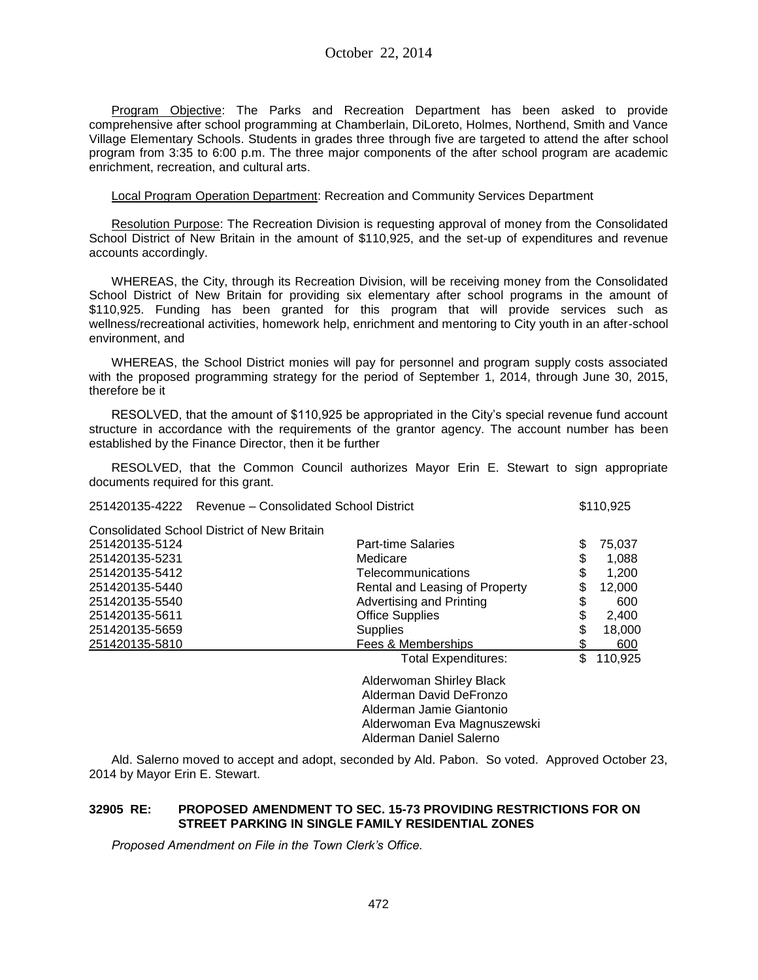Program Objective: The Parks and Recreation Department has been asked to provide comprehensive after school programming at Chamberlain, DiLoreto, Holmes, Northend, Smith and Vance Village Elementary Schools. Students in grades three through five are targeted to attend the after school program from 3:35 to 6:00 p.m. The three major components of the after school program are academic enrichment, recreation, and cultural arts.

Local Program Operation Department: Recreation and Community Services Department

Resolution Purpose: The Recreation Division is requesting approval of money from the Consolidated School District of New Britain in the amount of \$110,925, and the set-up of expenditures and revenue accounts accordingly.

WHEREAS, the City, through its Recreation Division, will be receiving money from the Consolidated School District of New Britain for providing six elementary after school programs in the amount of \$110,925. Funding has been granted for this program that will provide services such as wellness/recreational activities, homework help, enrichment and mentoring to City youth in an after-school environment, and

WHEREAS, the School District monies will pay for personnel and program supply costs associated with the proposed programming strategy for the period of September 1, 2014, through June 30, 2015, therefore be it

RESOLVED, that the amount of \$110,925 be appropriated in the City's special revenue fund account structure in accordance with the requirements of the grantor agency. The account number has been established by the Finance Director, then it be further

RESOLVED, that the Common Council authorizes Mayor Erin E. Stewart to sign appropriate documents required for this grant.

|                | 251420135-4222 Revenue – Consolidated School District |    | \$110,925 |  |
|----------------|-------------------------------------------------------|----|-----------|--|
|                | <b>Consolidated School District of New Britain</b>    |    |           |  |
| 251420135-5124 | <b>Part-time Salaries</b>                             | \$ | 75,037    |  |
| 251420135-5231 | Medicare                                              | \$ | 1,088     |  |
| 251420135-5412 | Telecommunications                                    | \$ | 1,200     |  |
| 251420135-5440 | Rental and Leasing of Property                        | \$ | 12,000    |  |
| 251420135-5540 | Advertising and Printing                              | \$ | 600       |  |
| 251420135-5611 | <b>Office Supplies</b>                                | \$ | 2,400     |  |
| 251420135-5659 | <b>Supplies</b>                                       | \$ | 18,000    |  |
| 251420135-5810 | Fees & Memberships                                    |    | 600       |  |
|                | Total Expenditures:                                   | \$ | 110,925   |  |
|                | Alderwoman Shirley Black                              |    |           |  |
|                | Alderman David DeFronzo                               |    |           |  |
|                | Alderman Jamie Giantonio                              |    |           |  |
|                | Alderwoman Eva Magnuszewski                           |    |           |  |
|                | Alderman Daniel Salerno                               |    |           |  |

Ald. Salerno moved to accept and adopt, seconded by Ald. Pabon. So voted. Approved October 23, 2014 by Mayor Erin E. Stewart.

#### **32905 RE: PROPOSED AMENDMENT TO SEC. 15-73 PROVIDING RESTRICTIONS FOR ON STREET PARKING IN SINGLE FAMILY RESIDENTIAL ZONES**

*Proposed Amendment on File in the Town Clerk's Office.*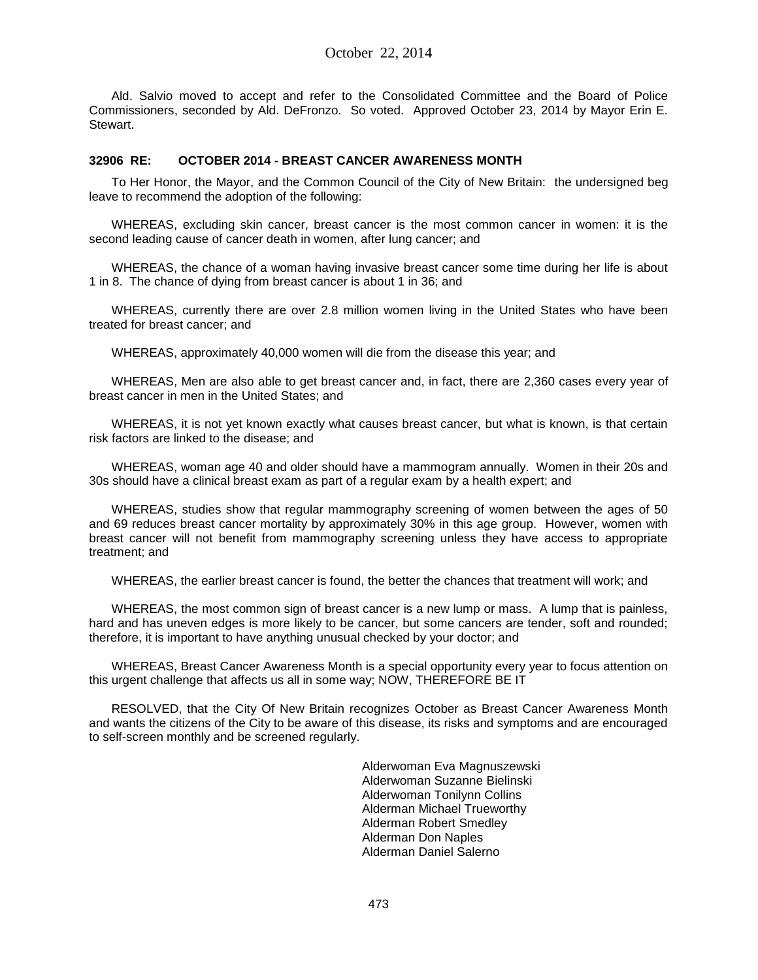Ald. Salvio moved to accept and refer to the Consolidated Committee and the Board of Police Commissioners, seconded by Ald. DeFronzo. So voted. Approved October 23, 2014 by Mayor Erin E. Stewart.

#### **32906 RE: OCTOBER 2014 - BREAST CANCER AWARENESS MONTH**

To Her Honor, the Mayor, and the Common Council of the City of New Britain: the undersigned beg leave to recommend the adoption of the following:

WHEREAS, excluding skin cancer, breast cancer is the most common cancer in women: it is the second leading cause of cancer death in women, after lung cancer; and

WHEREAS, the chance of a woman having invasive breast cancer some time during her life is about 1 in 8. The chance of dying from breast cancer is about 1 in 36; and

WHEREAS, currently there are over 2.8 million women living in the United States who have been treated for breast cancer; and

WHEREAS, approximately 40,000 women will die from the disease this year; and

WHEREAS, Men are also able to get breast cancer and, in fact, there are 2,360 cases every year of breast cancer in men in the United States; and

WHEREAS, it is not yet known exactly what causes breast cancer, but what is known, is that certain risk factors are linked to the disease; and

WHEREAS, woman age 40 and older should have a mammogram annually. Women in their 20s and 30s should have a clinical breast exam as part of a regular exam by a health expert; and

WHEREAS, studies show that regular mammography screening of women between the ages of 50 and 69 reduces breast cancer mortality by approximately 30% in this age group. However, women with breast cancer will not benefit from mammography screening unless they have access to appropriate treatment; and

WHEREAS, the earlier breast cancer is found, the better the chances that treatment will work; and

WHEREAS, the most common sign of breast cancer is a new lump or mass. A lump that is painless, hard and has uneven edges is more likely to be cancer, but some cancers are tender, soft and rounded; therefore, it is important to have anything unusual checked by your doctor; and

WHEREAS, Breast Cancer Awareness Month is a special opportunity every year to focus attention on this urgent challenge that affects us all in some way; NOW, THEREFORE BE IT

RESOLVED, that the City Of New Britain recognizes October as Breast Cancer Awareness Month and wants the citizens of the City to be aware of this disease, its risks and symptoms and are encouraged to self-screen monthly and be screened regularly.

> Alderwoman Eva Magnuszewski Alderwoman Suzanne Bielinski Alderwoman Tonilynn Collins Alderman Michael Trueworthy Alderman Robert Smedley Alderman Don Naples Alderman Daniel Salerno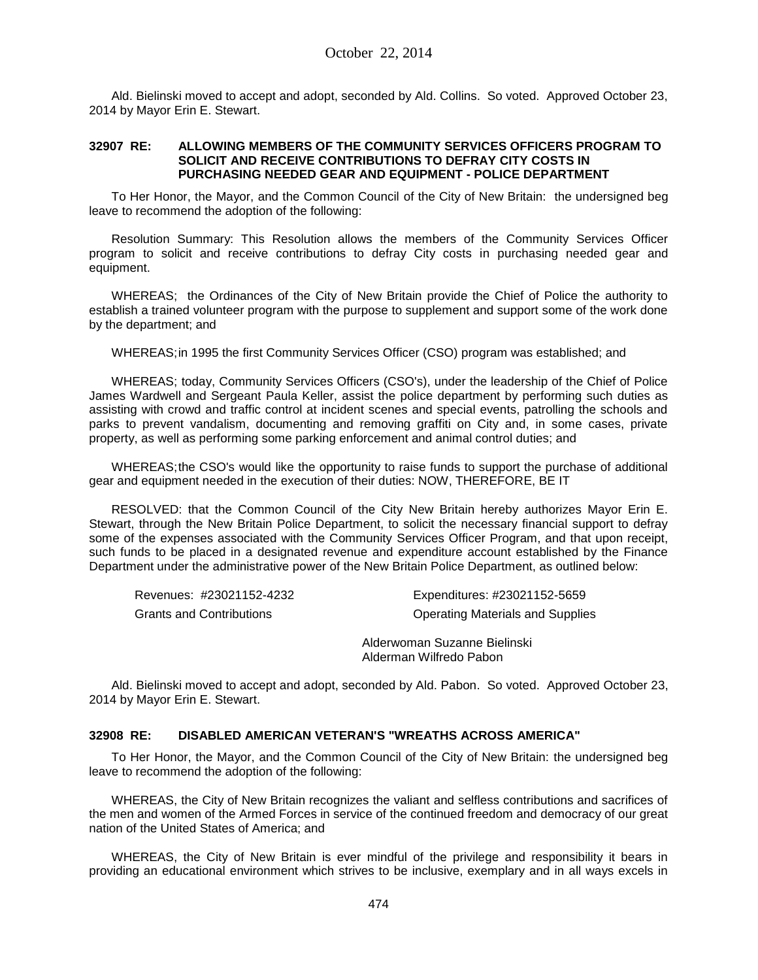Ald. Bielinski moved to accept and adopt, seconded by Ald. Collins. So voted. Approved October 23, 2014 by Mayor Erin E. Stewart.

#### **32907 RE: ALLOWING MEMBERS OF THE COMMUNITY SERVICES OFFICERS PROGRAM TO SOLICIT AND RECEIVE CONTRIBUTIONS TO DEFRAY CITY COSTS IN PURCHASING NEEDED GEAR AND EQUIPMENT - POLICE DEPARTMENT**

To Her Honor, the Mayor, and the Common Council of the City of New Britain: the undersigned beg leave to recommend the adoption of the following:

Resolution Summary: This Resolution allows the members of the Community Services Officer program to solicit and receive contributions to defray City costs in purchasing needed gear and equipment.

WHEREAS; the Ordinances of the City of New Britain provide the Chief of Police the authority to establish a trained volunteer program with the purpose to supplement and support some of the work done by the department; and

WHEREAS;in 1995 the first Community Services Officer (CSO) program was established; and

WHEREAS; today, Community Services Officers (CSO's), under the leadership of the Chief of Police James Wardwell and Sergeant Paula Keller, assist the police department by performing such duties as assisting with crowd and traffic control at incident scenes and special events, patrolling the schools and parks to prevent vandalism, documenting and removing graffiti on City and, in some cases, private property, as well as performing some parking enforcement and animal control duties; and

WHEREAS;the CSO's would like the opportunity to raise funds to support the purchase of additional gear and equipment needed in the execution of their duties: NOW, THEREFORE, BE IT

RESOLVED: that the Common Council of the City New Britain hereby authorizes Mayor Erin E. Stewart, through the New Britain Police Department, to solicit the necessary financial support to defray some of the expenses associated with the Community Services Officer Program, and that upon receipt, such funds to be placed in a designated revenue and expenditure account established by the Finance Department under the administrative power of the New Britain Police Department, as outlined below:

Revenues: #23021152-4232 Expenditures: #23021152-5659 Grants and Contributions **Contributions** Operating Materials and Supplies

Alderwoman Suzanne Bielinski Alderman Wilfredo Pabon

Ald. Bielinski moved to accept and adopt, seconded by Ald. Pabon. So voted. Approved October 23, 2014 by Mayor Erin E. Stewart.

#### **32908 RE: DISABLED AMERICAN VETERAN'S "WREATHS ACROSS AMERICA"**

To Her Honor, the Mayor, and the Common Council of the City of New Britain: the undersigned beg leave to recommend the adoption of the following:

WHEREAS, the City of New Britain recognizes the valiant and selfless contributions and sacrifices of the men and women of the Armed Forces in service of the continued freedom and democracy of our great nation of the United States of America; and

WHEREAS, the City of New Britain is ever mindful of the privilege and responsibility it bears in providing an educational environment which strives to be inclusive, exemplary and in all ways excels in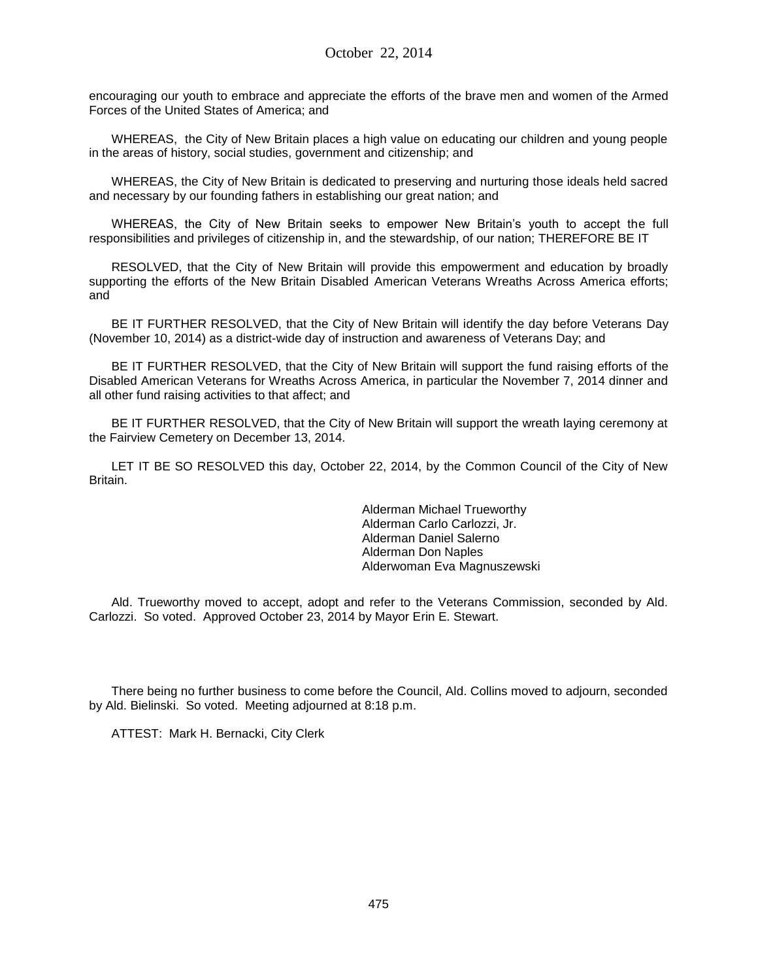encouraging our youth to embrace and appreciate the efforts of the brave men and women of the Armed Forces of the United States of America; and

WHEREAS, the City of New Britain places a high value on educating our children and young people in the areas of history, social studies, government and citizenship; and

WHEREAS, the City of New Britain is dedicated to preserving and nurturing those ideals held sacred and necessary by our founding fathers in establishing our great nation; and

WHEREAS, the City of New Britain seeks to empower New Britain's youth to accept the full responsibilities and privileges of citizenship in, and the stewardship, of our nation; THEREFORE BE IT

RESOLVED, that the City of New Britain will provide this empowerment and education by broadly supporting the efforts of the New Britain Disabled American Veterans Wreaths Across America efforts; and

BE IT FURTHER RESOLVED, that the City of New Britain will identify the day before Veterans Day (November 10, 2014) as a district-wide day of instruction and awareness of Veterans Day; and

BE IT FURTHER RESOLVED, that the City of New Britain will support the fund raising efforts of the Disabled American Veterans for Wreaths Across America, in particular the November 7, 2014 dinner and all other fund raising activities to that affect; and

BE IT FURTHER RESOLVED, that the City of New Britain will support the wreath laying ceremony at the Fairview Cemetery on December 13, 2014.

LET IT BE SO RESOLVED this day, October 22, 2014, by the Common Council of the City of New Britain.

> Alderman Michael Trueworthy Alderman Carlo Carlozzi, Jr. Alderman Daniel Salerno Alderman Don Naples Alderwoman Eva Magnuszewski

Ald. Trueworthy moved to accept, adopt and refer to the Veterans Commission, seconded by Ald. Carlozzi. So voted. Approved October 23, 2014 by Mayor Erin E. Stewart.

There being no further business to come before the Council, Ald. Collins moved to adjourn, seconded by Ald. Bielinski. So voted. Meeting adjourned at 8:18 p.m.

ATTEST: Mark H. Bernacki, City Clerk